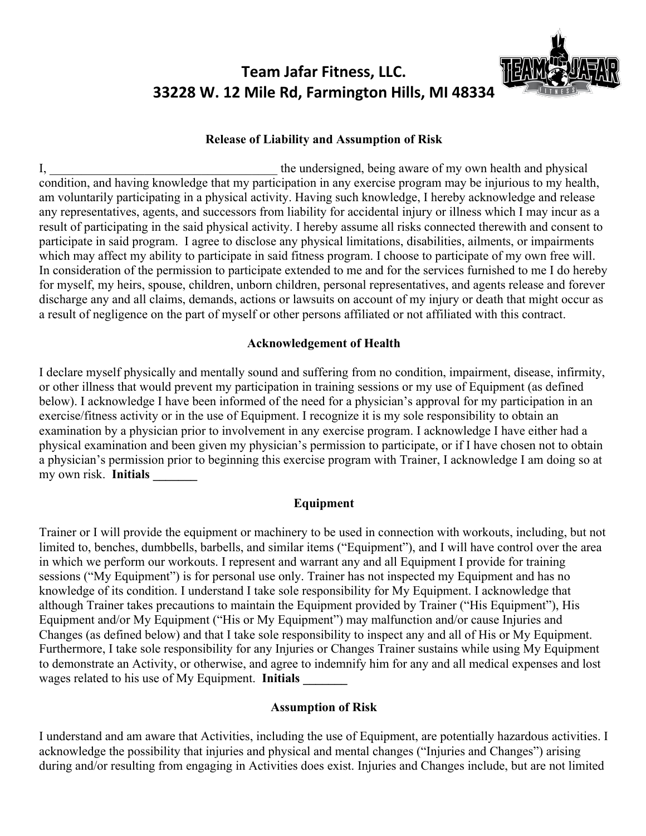# **Team Jafar Fitness, LLC. 33228 W. 12 Mile Rd, Farmington Hills, MI 48334**



# **Release of Liability and Assumption of Risk**

I, the undersigned, being aware of my own health and physical condition, and having knowledge that my participation in any exercise program may be injurious to my health, am voluntarily participating in a physical activity. Having such knowledge, I hereby acknowledge and release any representatives, agents, and successors from liability for accidental injury or illness which I may incur as a result of participating in the said physical activity. I hereby assume all risks connected therewith and consent to participate in said program. I agree to disclose any physical limitations, disabilities, ailments, or impairments which may affect my ability to participate in said fitness program. I choose to participate of my own free will. In consideration of the permission to participate extended to me and for the services furnished to me I do hereby for myself, my heirs, spouse, children, unborn children, personal representatives, and agents release and forever discharge any and all claims, demands, actions or lawsuits on account of my injury or death that might occur as a result of negligence on the part of myself or other persons affiliated or not affiliated with this contract.

#### **Acknowledgement of Health**

I declare myself physically and mentally sound and suffering from no condition, impairment, disease, infirmity, or other illness that would prevent my participation in training sessions or my use of Equipment (as defined below). I acknowledge I have been informed of the need for a physician's approval for my participation in an exercise/fitness activity or in the use of Equipment. I recognize it is my sole responsibility to obtain an examination by a physician prior to involvement in any exercise program. I acknowledge I have either had a physical examination and been given my physician's permission to participate, or if I have chosen not to obtain a physician's permission prior to beginning this exercise program with Trainer, I acknowledge I am doing so at my own risk. **Initials \_\_\_\_\_\_\_**

## **Equipment**

Trainer or I will provide the equipment or machinery to be used in connection with workouts, including, but not limited to, benches, dumbbells, barbells, and similar items ("Equipment"), and I will have control over the area in which we perform our workouts. I represent and warrant any and all Equipment I provide for training sessions ("My Equipment") is for personal use only. Trainer has not inspected my Equipment and has no knowledge of its condition. I understand I take sole responsibility for My Equipment. I acknowledge that although Trainer takes precautions to maintain the Equipment provided by Trainer ("His Equipment"), His Equipment and/or My Equipment ("His or My Equipment") may malfunction and/or cause Injuries and Changes (as defined below) and that I take sole responsibility to inspect any and all of His or My Equipment. Furthermore, I take sole responsibility for any Injuries or Changes Trainer sustains while using My Equipment to demonstrate an Activity, or otherwise, and agree to indemnify him for any and all medical expenses and lost wages related to his use of My Equipment. **Initials** 

## **Assumption of Risk**

I understand and am aware that Activities, including the use of Equipment, are potentially hazardous activities. I acknowledge the possibility that injuries and physical and mental changes ("Injuries and Changes") arising during and/or resulting from engaging in Activities does exist. Injuries and Changes include, but are not limited